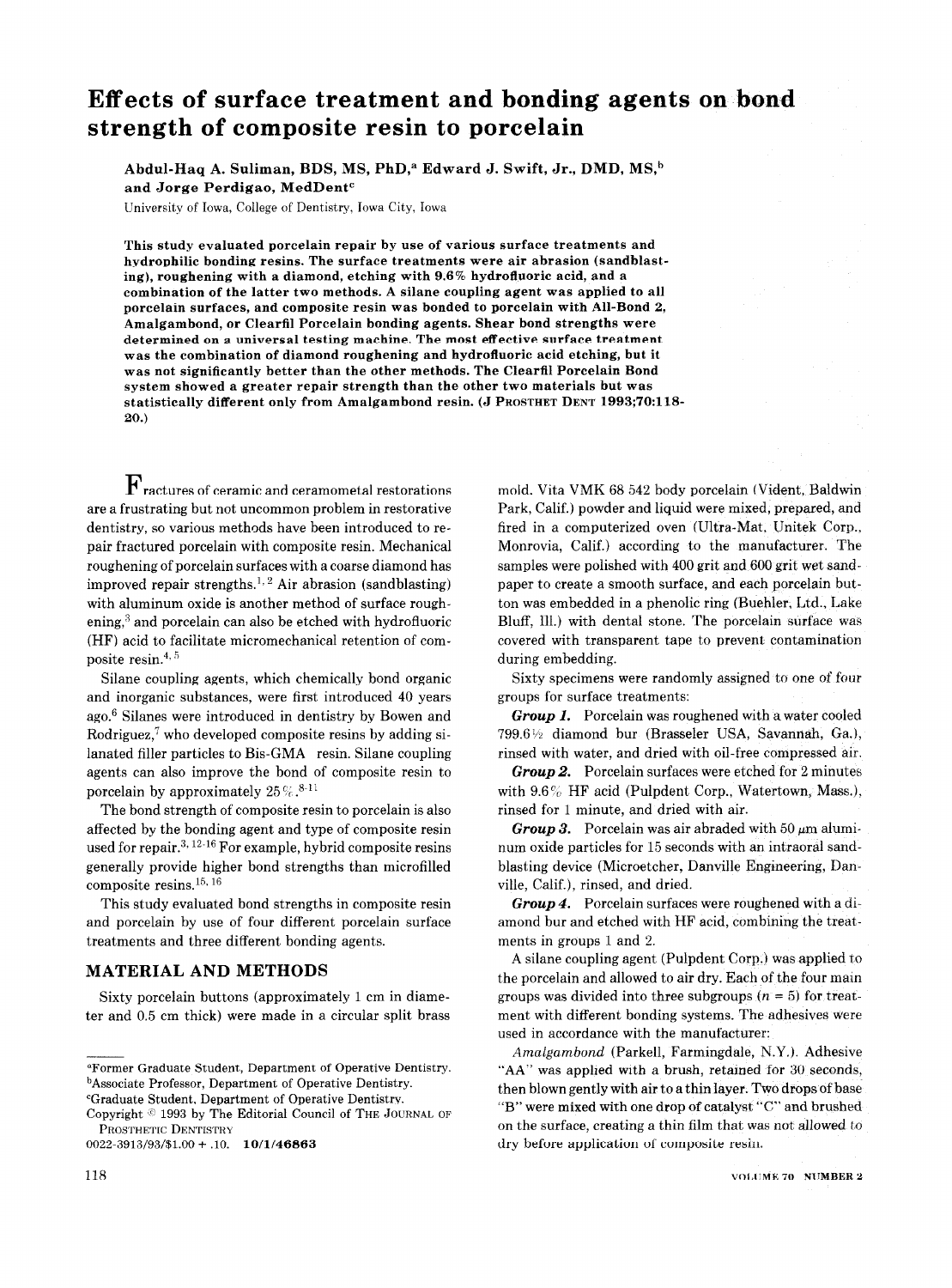# Effects of surface treatment and bonding agents on bond strength of composite resin to porcelain

Abdul-Haq A. Suliman, BDS, MS, PhD,<sup>a</sup> Edward J. Swift, Jr., DMD, MS,<sup>b</sup> and Jorge Perdigao, MedDent"

University of Iowa, College of Dentistry, Iowa City, Iowa

This study evaluated porcelain repair by use of various surface treatments and hydrophilic bonding resins. The surface treatments were air abrasion (sandblasting), roughening with a diamond, etching with 9.6% hydrofluoric acid, and a combination of the latter two methods. A silane coupling agent was applied to all porcelain surfaces, and composite resin was bonded to porcelain with All-Bond 2, Amalgambond, or Clearfil Porcelain bonding agents. Shear bond strengths were determined on a universal testing machine. The most effective surface treatment was the combination of diamond roughening and hydrofluoric acid etching, but it was not significantly better than the other methods. The Clearfil Porcelain Bond system showed a greater repair strength than the other two materials but was statistically different only from Amalgambond resin. (J PROSTHET DENT 1993;70:118- 20.)

 $\mathbf{F}_{\rm{ractures~of~ceramic~and~ceramometal~restorations}}$ are a frustrating but not uncommon problem in restorative dentistry, so various methods have been introduced to repair fractured porcelain with composite resin. Mechanical roughening of porcelain surfaces with a coarse diamond has improved repair strengths.<sup>1, 2</sup> Air abrasion (sandblasting) with aluminum oxide is another method of surface roughening, $3$  and porcelain can also be etched with hydrofluoric (HF) acid to facilitate micromechanical retention of composite resin.<sup>4, 5</sup>

Silane coupling agents, which chemically bond organic and inorganic substances, were first introduced 40 years ago.6 Silanes were introduced in dentistry by Bowen and Rodriguez, $7$  who developed composite resins by adding silanated filler particles to Bis-GMA resin. Silane coupling agents can also improve the bond of composite resin to porcelain by approximately  $25\%$ .<sup>8-11</sup>

The bond strength of composite resin to porcelain is also affected by the bonding agent and type of composite resin used for repair.<sup>3, 12-16</sup> For example, hybrid composite resins generally provide higher bond strengths than microfilled composite resins.<sup>15, 16</sup>

This study evaluated bond strengths in composite resin and porcelain by use of four different porcelain surface treatments and three different bonding agents.

#### MATERIAL AND METHODS

Sixty porcelain buttons (approximately 1 cm in diameter and 0.5 cm thick) were made in a circular split brass

0022.3913/93/\$1.00 + .lO. 10/l/46863

mold. Vita VMK 68 542 body porcelain (Vident, Baldwin Park, Calif.) powder and liquid were mixed, prepared, and fired in a computerized oven (Ultra-Mat, Unitek Corp., Monrovia, Calif.) according to the manufacturer. The samples were polished with 400 grit and 600 grit wet sandpaper to create a smooth surface, and each porcelain button was embedded in a phenolic ring (Buehler, Ltd., Lake Bluff, 111.) with dental stone. The porcelain surface was covered with transparent tape to prevent contamination during embedding.

Sixty specimens were randomly assigned to one of four groups for surface treatments:

Group 1. Porcelain was roughened with a water cooled 799.6% diamond bur (Brasseler USA, Savannah, Ga.), rinsed with water, and dried with oil-free compressed air.

Group 2. Porcelain surfaces were etched for 2 minutes with  $9.6\%$  HF acid (Pulpdent Corp., Watertown, Mass.), rinsed for 1 minute, and dried with air.

Group 3. Porcelain was air abraded with 50  $\mu$ m aluminum oxide particles for 15 seconds with an intraoral sandblasting device (Microetcher, Danville Engineering, Danville, Calif.), rinsed, and dried.

Group 4. Porcelain surfaces were roughened with a diamond bur and etched with HF acid, combining the treatments in groups 1 and 2.

A silane coupling agent (Pulpdent Corp.) was applied to the porcelain and allowed to air dry. Each of the four main groups was divided into three subgroups  $(n = 5)$  for treatment with different bonding systems. The adhesives were used in accordance with the manufacturer:

Amalgambond (Parkell, Farmingdale, N.Y.). Adhesive "AA" was applied with a brush, retained for 30 seconds, then blown gently with air to a thin layer. Two drops of base "B" were mixed with one drop of catalyst "C" and brushed on the surface, creating a thin film that was not allowed to dry before application of composite resin.

aFormer Graduate Student, Department of Operative Dentistry. bAssociate Professor, Department of Operative Dentistry.

<sup>&</sup>quot;Graduate Student, Department of Operative Dentistry.

Copyright  $\circ$  1993 by The Editorial Council of THE JOURNAL OF PROSTHETIC DENTISTRY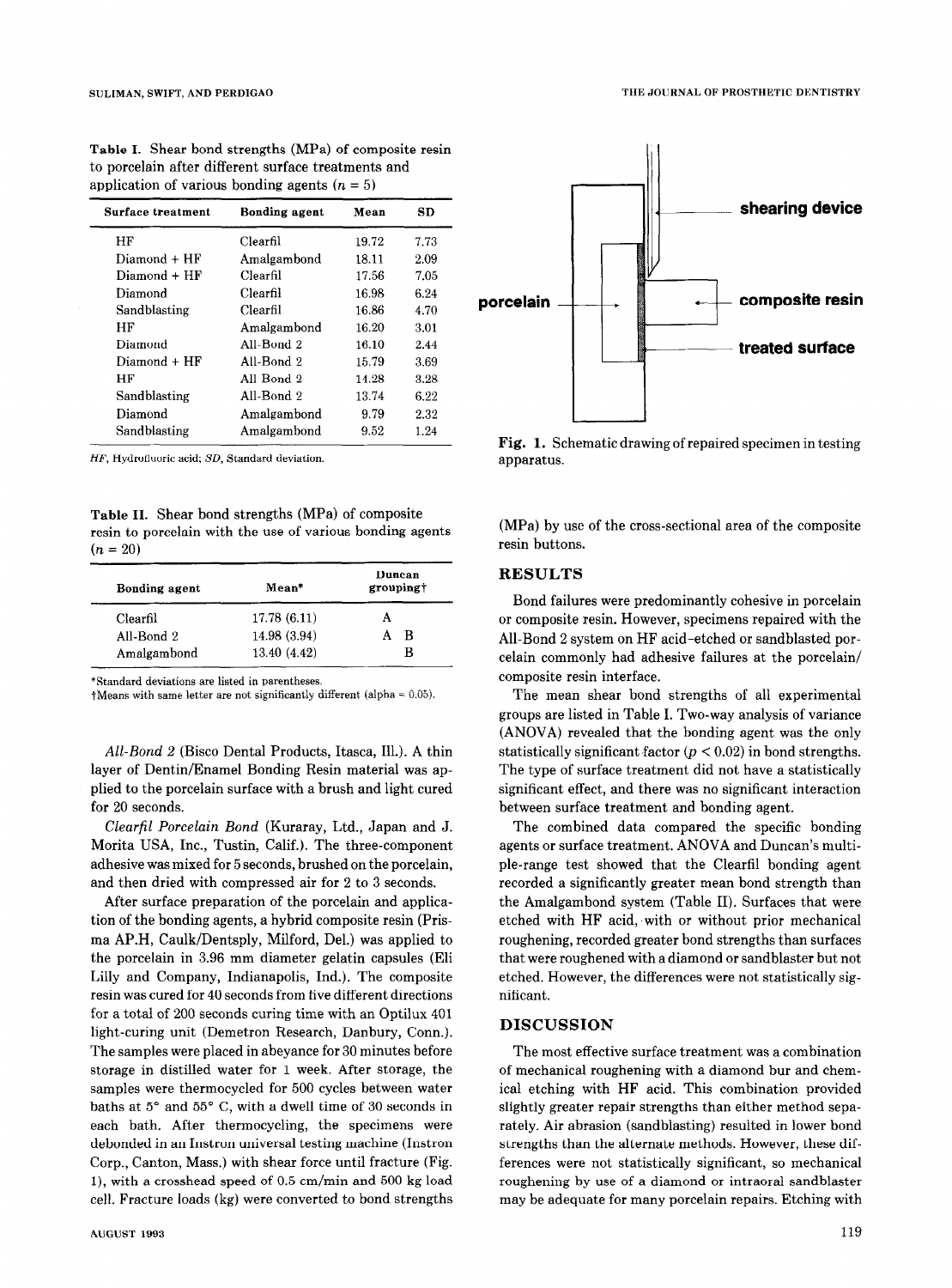| Surface treatment | Bonding agent | Mean  | SD   |
|-------------------|---------------|-------|------|
| HF                | Clearfil      | 19.72 | 7.73 |
| Diamond + HF      | Amalgambond   | 18.11 | 2.09 |
| $Diamond$ $+ HF$  | Clearfil      | 17.56 | 7.05 |
| Diamond           | Clearfil      | 16.98 | 6.24 |
| Sandblasting      | Clearfil      | 16.86 | 4.70 |
| НF                | Amalgambond   | 16.20 | 3.01 |
| Diamond           | All-Bond 2    | 16.10 | 2.44 |
| Diamond + HF      | All-Bond 2    | 15.79 | 3.69 |
| НF                | All-Bond 2    | 14.28 | 3.28 |
| Sandblasting      | All-Bond 2    | 13.74 | 6.22 |
| Diamond           | Amalgambond   | 9.79  | 2.32 |
| Sandblasting      | Amalgambond   | 9.52  | 1.24 |

Table I. Shear bond strengths (MPa) of composite resin to porcelain after different surface treatments and application of various bonding agents  $(n = 5)$ 

HF, Hydrofiuoric acid; SD, Standard deviation.

Table II. Shear bond strengths (MPa) of composite resin to porcelain with the use of various bonding agents  $(n = 20)$ 

| Bonding agent | Mean*        | Duncan<br>groupingt |  |
|---------------|--------------|---------------------|--|
| Clearfil      | 17.78 (6.11) |                     |  |
| All-Bond 2    | 14.98 (3.94) | в                   |  |
| Amalgambond   | 13.40 (4.42) | в                   |  |

\*Standard deviations are listed in parentheses.

 $\dagger$ Means with same letter are not significantly different (alpha = 0.05).

All-Bond 2 (Bisco Dental Products, Itasca, Ill.). A thin layer of Dentin/Enamel Bonding Resin material was applied to the porcelain surface with a brush and light cured for 20 seconds.

Clearfil Porcelain Bond (Kuraray, Ltd., Japan and J. Morita USA, Inc., Tustin, Calif.). The three-component adhesive was mixed for 5 seconds, brushed on the porcelain, and then dried with compressed air for 2 to 3 seconds.

After surface preparation of the porcelain and application of the bonding agents, a hybrid composite resin (Prisma AP.H, Caulk/Dentsply, Milford, Del.) was applied to the porcelain in 3.96 mm diameter gelatin capsules (Eli Lilly and Company, Indianapolis, Ind.). The composite resin was cured for 40 seconds from five different directions for a total of 200 seconds curing time with an Optilux 401 light-curing unit (Demetron Research, Danbury, Conn.). The samples were placed in abeyance for 30 minutes before storage in distilled water for 1 week. After storage, the samples were thermocycled for 500 cycles between water baths at  $5^{\circ}$  and  $55^{\circ}$  C, with a dwell time of 30 seconds in each bath. After thermocycling, the specimens were debonded in an Instron universal testing machine (Instron Corp., Canton, Mass.) with shear force until fracture (Fig. I), with a crosshead speed of 0.5 cm/min and 500 kg load cell. Fracture loads (kg) were converted to bond strengths



Fig. 1. Schematic drawing of repaired specimen in testing apparatus.

(MPa) by use of the cross-sectional area of the composite resin buttons.

## **RESULTS**

Bond failures were predominantly cohesive in porcelain or composite resin. However, specimens repaired with the All-Bond 2 system on HF acid-etched or sandblasted porcelain commonly had adhesive failures at the porcelain/ composite resin interface.

The mean shear bond strengths of all experimental groups are listed in Table I. Two-way analysis of variance (ANOVA) revealed that the bonding agent was the only statistically significant factor ( $p < 0.02$ ) in bond strengths. The type of surface treatment did not have a statistically significant effect, and there was no significant interaction between surface treatment and bonding agent.

The combined data compared the specific bonding agents or surface treatment. ANOVA and Duncan's multiple-range test showed that the Clearfil bonding agent recorded a significantly greater mean bond strength than the Amalgambond system (Table II). Surfaces that were etched with HF acid, 'with or without prior mechanical roughening, recorded greater bond strengths than surfaces that were roughened with a diamond or sandblaster but not etched. However, the differences were not statistically significant.

### DISCUSSION

The most effective surface treatment was a combination of mechanical roughening with a diamond bur and chemical etching with HF acid. This combination provided slightly greater repair strengths than either method separately. Air abrasion (sandblasting) resulted in lower bond strengths than the alternate methods. However, these differences were not statistically significant, so mechanical roughening by use of a diamond or intraoral sandblaster may be adequate for many porcelain repairs, Etching with